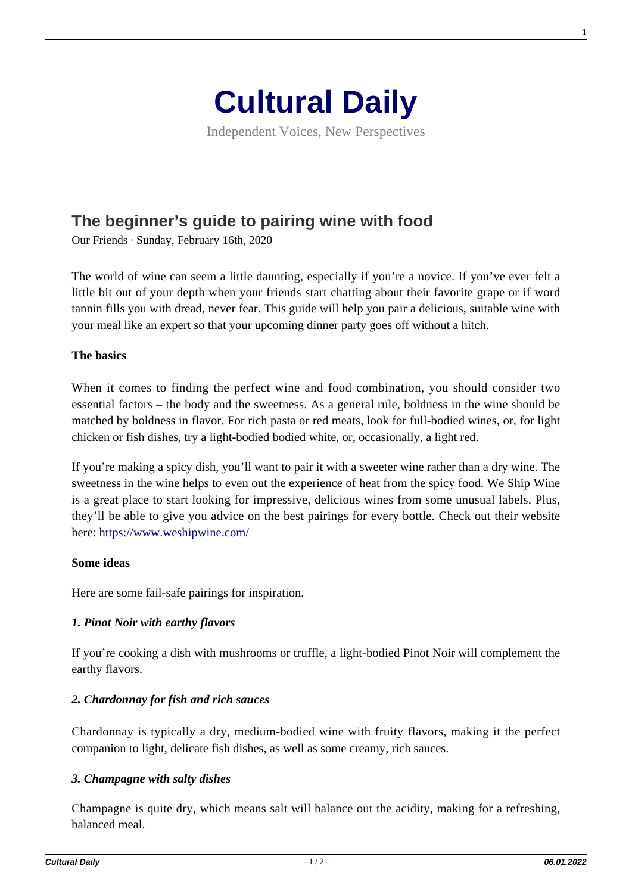

Independent Voices, New Perspectives

# **[The beginner's guide to pairing wine with food](https://culturaldaily.com/beginners-guide-pairing-wine-food/)**

Our Friends · Sunday, February 16th, 2020

The world of wine can seem a little daunting, especially if you're a novice. If you've ever felt a little bit out of your depth when your friends start chatting about their favorite grape or if word tannin fills you with dread, never fear. This guide will help you pair a delicious, suitable wine with your meal like an expert so that your upcoming dinner party goes off without a hitch.

# **The basics**

When it comes to finding the perfect wine and food combination, you should consider two essential factors – the body and the sweetness. As a general rule, boldness in the wine should be matched by boldness in flavor. For rich pasta or red meats, look for full-bodied wines, or, for light chicken or fish dishes, try a light-bodied bodied white, or, occasionally, a light red.

If you're making a spicy dish, you'll want to pair it with a sweeter wine rather than a dry wine. The sweetness in the wine helps to even out the experience of heat from the spicy food. We Ship Wine is a great place to start looking for impressive, delicious wines from some unusual labels. Plus, they'll be able to give you advice on the best pairings for every bottle. Check out their website here:<https://www.weshipwine.com/>

#### **Some ideas**

Here are some fail-safe pairings for inspiration.

# *1. Pinot Noir with earthy flavors*

If you're cooking a dish with mushrooms or truffle, a light-bodied Pinot Noir will complement the earthy flavors.

# *2. Chardonnay for fish and rich sauces*

Chardonnay is typically a dry, medium-bodied wine with fruity flavors, making it the perfect companion to light, delicate fish dishes, as well as some creamy, rich sauces.

#### *3. Champagne with salty dishes*

Champagne is quite dry, which means salt will balance out the acidity, making for a refreshing, balanced meal.

**1**